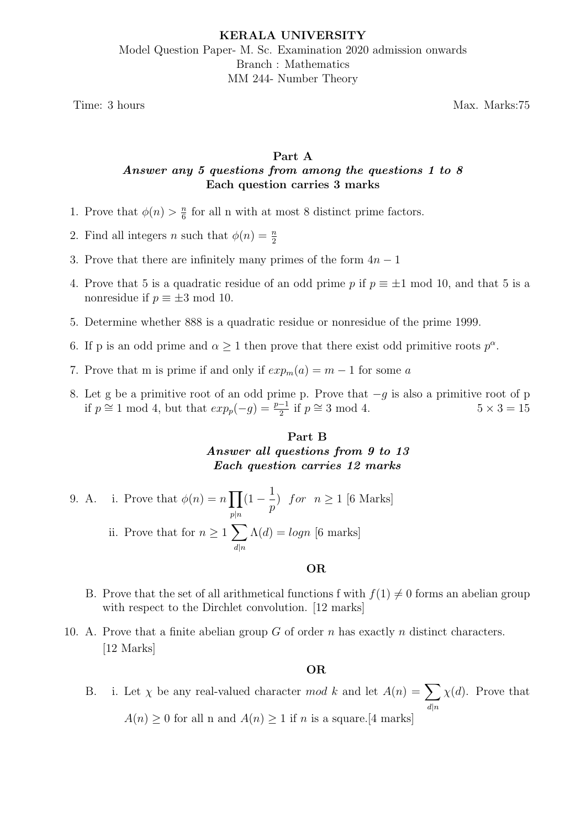Time: 3 hours Max. Marks:75

## Part A Answer any 5 questions from among the questions 1 to 8 Each question carries 3 marks

- 1. Prove that  $\phi(n) > \frac{n}{6}$  $\frac{n}{6}$  for all n with at most 8 distinct prime factors.
- 2. Find all integers *n* such that  $\phi(n) = \frac{n}{2}$
- 3. Prove that there are infinitely many primes of the form  $4n-1$
- 4. Prove that 5 is a quadratic residue of an odd prime p if  $p \equiv \pm 1 \mod 10$ , and that 5 is a nonresidue if  $p \equiv \pm 3 \mod 10$ .
- 5. Determine whether 888 is a quadratic residue or nonresidue of the prime 1999.
- 6. If p is an odd prime and  $\alpha \geq 1$  then prove that there exist odd primitive roots  $p^{\alpha}$ .
- 7. Prove that m is prime if and only if  $exp_m(a) = m 1$  for some a
- 8. Let g be a primitive root of an odd prime p. Prove that  $-g$  is also a primitive root of p if  $p \cong 1 \mod 4$ , but that  $exp_p(-g) = \frac{p-1}{2}$  if  $p \cong 3 \mod 4$ .  $5 \times 3 = 15$

# Part B Answer all questions from 9 to 13 Each question carries 12 marks

9. A. i. Prove that  $\phi(n) = n \prod$  $p|n$  $(1 - \frac{1}{1})$ p ) for  $n \geq 1$  [6 Marks] ii. Prove that for  $n \geq 1$  $d|n$  $\Lambda(d) = logn$  [6 marks]

### OR

- B. Prove that the set of all arithmetical functions f with  $f(1) \neq 0$  forms an abelian group with respect to the Dirchlet convolution. [12 marks]
- 10. A. Prove that a finite abelian group  $G$  of order n has exactly n distinct characters. [12 Marks]

### OR

B. i. Let  $\chi$  be any real-valued character mod k and let  $A(n) = \sum$  $d|n$  $\chi(d)$ . Prove that  $A(n) \geq 0$  for all n and  $A(n) \geq 1$  if n is a square.[4 marks]